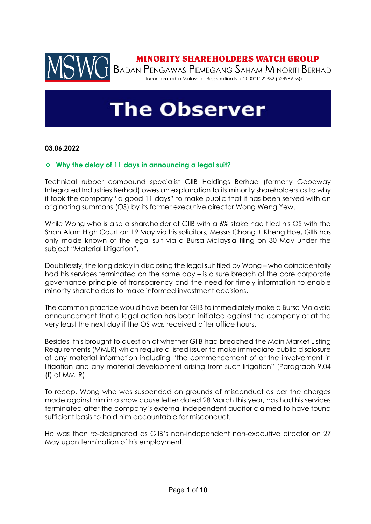

## **MINORITY SHAREHOLDERS WATCH GROUP**

T BADAN PENGAWAS PEMEGANG SAHAM MINORITI BERHAD (Incorporated in Malaysia . Registration No. 200001022382 (524989-M))

# **The Observer**

## **03.06.2022**

## ❖ **Why the delay of 11 days in announcing a legal suit?**

Technical rubber compound specialist GIIB Holdings Berhad (formerly Goodway Integrated Industries Berhad) owes an explanation to its minority shareholders as to why it took the company "a good 11 days" to make public that it has been served with an originating summons (OS) by its former executive director Wong Weng Yew.

While Wong who is also a shareholder of GIIB with a 6% stake had filed his OS with the Shah Alam High Court on 19 May via his solicitors, Messrs Chong + Kheng Hoe, GIIB has only made known of the legal suit via a Bursa Malaysia filing on 30 May under the subject "Material Litigation".

Doubtlessly, the long delay in disclosing the legal suit filed by Wong – who coincidentally had his services terminated on the same day – is a sure breach of the core corporate governance principle of transparency and the need for timely information to enable minority shareholders to make informed investment decisions.

The common practice would have been for GIIB to immediately make a Bursa Malaysia announcement that a legal action has been initiated against the company or at the very least the next day if the OS was received after office hours.

Besides, this brought to question of whether GIIB had breached the Main Market Listing Requirements (MMLR) which require a listed issuer to make immediate public disclosure of any material information including "the commencement of or the involvement in litigation and any material development arising from such litigation" (Paragraph 9.04 (f) of MMLR).

To recap, Wong who was suspended on grounds of misconduct as per the charges made against him in a show cause letter dated 28 March this year, has had his services terminated after the company's external independent auditor claimed to have found sufficient basis to hold him accountable for misconduct.

He was then re-designated as GIIB's non-independent non-executive director on 27 May upon termination of his employment.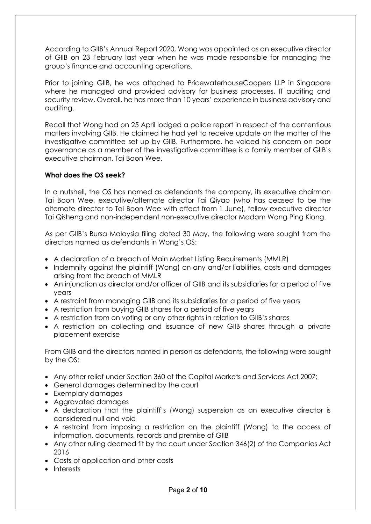According to GIIB's Annual Report 2020, Wong was appointed as an executive director of GIIB on 23 February last year when he was made responsible for managing the group's finance and accounting operations.

Prior to joining GIIB, he was attached to PricewaterhouseCoopers LLP in Singapore where he managed and provided advisory for business processes, IT auditing and security review. Overall, he has more than 10 years' experience in business advisory and auditing.

Recall that Wong had on 25 April lodged a police report in respect of the contentious matters involving GIIB. He claimed he had yet to receive update on the matter of the investigative committee set up by GIIB. Furthermore, he voiced his concern on poor governance as a member of the investigative committee is a family member of GIIB's executive chairman, Tai Boon Wee.

## **What does the OS seek?**

In a nutshell, the OS has named as defendants the company, its executive chairman Tai Boon Wee, executive/alternate director Tai Qiyao (who has ceased to be the alternate director to Tai Boon Wee with effect from 1 June), fellow executive director Tai Qisheng and non-independent non-executive director Madam Wong Ping Kiong.

As per GIIB's Bursa Malaysia filing dated 30 May, the following were sought from the directors named as defendants in Wong's OS:

- A declaration of a breach of Main Market Listing Requirements (MMLR)
- Indemnity against the plaintiff (Wong) on any and/or liabilities, costs and damages arising from the breach of MMLR
- An injunction as director and/or officer of GIIB and its subsidiaries for a period of five years
- A restraint from managing GIIB and its subsidiaries for a period of five years
- A restriction from buying GIIB shares for a period of five years
- A restriction from on voting or any other rights in relation to GIIB's shares
- A restriction on collecting and issuance of new GIIB shares through a private placement exercise

From GIIB and the directors named in person as defendants, the following were sought by the OS:

- Any other relief under Section 360 of the Capital Markets and Services Act 2007;
- General damages determined by the court
- Exemplary damages
- Aggravated damages
- A declaration that the plaintiff's (Wong) suspension as an executive director is considered null and void
- A restraint from imposing a restriction on the plaintiff (Wong) to the access of information, documents, records and premise of GIIB
- Any other ruling deemed fit by the court under Section 346(2) of the Companies Act 2016
- Costs of application and other costs
- Interests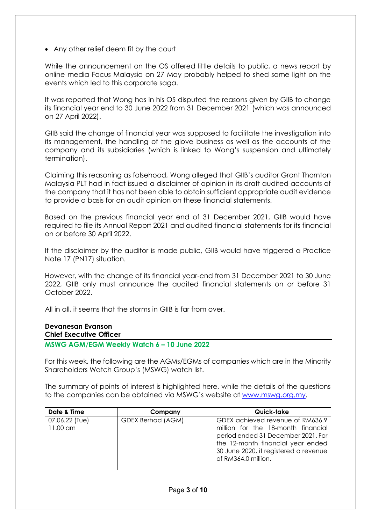• Any other relief deem fit by the court

While the announcement on the OS offered little details to public, a news report by online media Focus Malaysia on 27 May probably helped to shed some light on the events which led to this corporate saga.

It was reported that Wong has in his OS disputed the reasons given by GIIB to change its financial year end to 30 June 2022 from 31 December 2021 (which was announced on 27 April 2022).

GIIB said the change of financial year was supposed to facilitate the investigation into its management, the handling of the glove business as well as the accounts of the company and its subsidiaries (which is linked to Wong's suspension and ultimately termination).

Claiming this reasoning as falsehood, Wong alleged that GIIB's auditor Grant Thornton Malaysia PLT had in fact issued a disclaimer of opinion in its draft audited accounts of the company that it has not been able to obtain sufficient appropriate audit evidence to provide a basis for an audit opinion on these financial statements.

Based on the previous financial year end of 31 December 2021, GIIB would have required to file its Annual Report 2021 and audited financial statements for its financial on or before 30 April 2022.

If the disclaimer by the auditor is made public, GIIB would have triggered a Practice Note 17 (PN17) situation.

However, with the change of its financial year-end from 31 December 2021 to 30 June 2022, GIIB only must announce the audited financial statements on or before 31 October 2022.

All in all, it seems that the storms in GIIB is far from over.

#### **Devanesan Evanson Chief Executive Officer**

**MSWG AGM/EGM Weekly Watch 6 – 10 June 2022** 

For this week, the following are the AGMs/EGMs of companies which are in the Minority Shareholders Watch Group's (MSWG) watch list.

The summary of points of interest is highlighted here, while the details of the questions to the companies can be obtained via MSWG's website at [www.mswg.org.my.](http://www.mswg.org.my/)

| Date & Time                | Company                  | Quick-take                                                                                                                                                                                                        |
|----------------------------|--------------------------|-------------------------------------------------------------------------------------------------------------------------------------------------------------------------------------------------------------------|
| 07.06.22 (Tue)<br>11.00 am | <b>GDEX Berhad (AGM)</b> | GDEX achieved revenue of RM636.9<br>million for the 18-month financial<br>period ended 31 December 2021. For<br>the 12-month financial year ended<br>30 June 2020, it registered a revenue<br>of RM364.0 million. |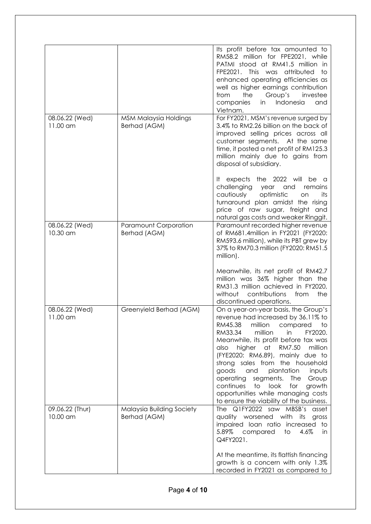|                             |                                              | Its profit before tax amounted to<br>RM58.2 million for FPE2021, while<br>PATMI stood at RM41.5 million in<br>FPE2021. This was<br>attributed<br>to<br>enhanced operating efficiencies as<br>well as higher earnings contribution<br>Group's<br>from<br>the<br>investee<br>Indonesia<br>in<br>companies<br>and<br>Vietnam.                                                                                                                                                                                                      |
|-----------------------------|----------------------------------------------|---------------------------------------------------------------------------------------------------------------------------------------------------------------------------------------------------------------------------------------------------------------------------------------------------------------------------------------------------------------------------------------------------------------------------------------------------------------------------------------------------------------------------------|
| 08.06.22 (Wed)<br>11.00 am  | MSM Malaysia Holdings<br>Berhad (AGM)        | For FY2021, MSM's revenue surged by<br>3.4% to RM2.26 billion on the back of<br>improved selling prices across all<br>customer segments. At the same<br>time, it posted a net profit of RM125.3<br>million mainly due to gains from<br>disposal of subsidiary.                                                                                                                                                                                                                                                                  |
|                             |                                              | expects the 2022 will<br>It.<br>be a<br>challenging<br>and<br>year<br>remains<br>cautiously<br>optimistic<br>its<br>on<br>turnaround plan amidst the rising<br>price of raw sugar, freight<br>and<br>natural gas costs and weaker Ringgit.                                                                                                                                                                                                                                                                                      |
| 08.06.22 (Wed)<br>10.30 am  | <b>Paramount Corporation</b><br>Berhad (AGM) | Paramount recorded higher revenue<br>of RM681.4million in FY2021 (FY2020:<br>RM593.6 million), while its PBT grew by<br>37% to RM70.3 million (FY2020: RM51.5<br>million).                                                                                                                                                                                                                                                                                                                                                      |
|                             |                                              | Meanwhile, its net profit of RM42.7<br>million was 36% higher than the<br>RM31.3 million achieved in FY2020,<br>contributions<br>the<br>without<br>from<br>discontinued operations.                                                                                                                                                                                                                                                                                                                                             |
| 08.06.22 (Wed)<br>11.00 am  | Greenyield Berhad (AGM)                      | On a year-on-year basis, the Group's<br>revenue had increased by 36.11% to<br>million<br>RM45.38<br>compared<br>to<br>RM33.34<br>million<br>in<br>FY2020.<br>Meanwhile, its profit before tax was<br>also<br>higher at<br>RM7.50<br>million<br>(FYE2020: RM6.89), mainly due to<br>strong sales from the household<br>plantation<br>goods<br>and<br>inputs<br>operating segments.<br>Group<br>The<br>continues<br>to<br>look<br>for<br>growth<br>opportunities while managing costs<br>to ensure the viability of the business. |
| 09.06.22 (Thur)<br>10.00 am | Malaysia Building Society<br>Berhad (AGM)    | The Q1FY2022 saw MBSB's<br>asset<br>quality worsened with<br>its<br>gross<br>impaired loan ratio increased to<br>5.89%<br>compared<br>4.6%<br>to<br>in<br>Q4FY2021.                                                                                                                                                                                                                                                                                                                                                             |
|                             |                                              | At the meantime, its flattish financing<br>growth is a concern with only 1.3%<br>recorded in FY2021 as compared to                                                                                                                                                                                                                                                                                                                                                                                                              |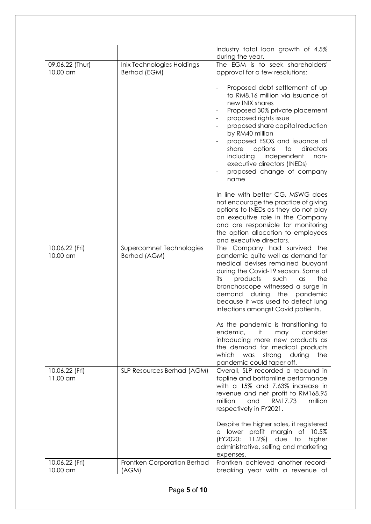|                             |                                            | industry total loan growth of 4.5%                                                                                                                                                                                                                                                                                                                                                        |
|-----------------------------|--------------------------------------------|-------------------------------------------------------------------------------------------------------------------------------------------------------------------------------------------------------------------------------------------------------------------------------------------------------------------------------------------------------------------------------------------|
|                             |                                            | during the year.                                                                                                                                                                                                                                                                                                                                                                          |
| 09.06.22 (Thur)<br>10.00 am | Inix Technologies Holdings<br>Berhad (EGM) | The EGM is to seek shareholders'<br>approval for a few resolutions:                                                                                                                                                                                                                                                                                                                       |
|                             |                                            | Proposed debt settlement of up<br>to RM8.16 million via issuance of<br>new INIX shares<br>Proposed 30% private placement<br>proposed rights issue<br>proposed share capital reduction<br>by RM40 million<br>proposed ESOS and issuance of<br>share<br>options<br>to<br>directors<br>including<br>independent<br>non-<br>executive directors (INEDs)<br>proposed change of company<br>name |
|                             |                                            | In line with better CG, MSWG does<br>not encourage the practice of giving<br>options to INEDs as they do not play<br>an executive role in the Company<br>and are responsible for monitoring<br>the option allocation to employees<br>and executive directors.                                                                                                                             |
| 10.06.22 (Fri)<br>10.00 am  | Supercomnet Technologies<br>Berhad (AGM)   | The Company had survived the<br>pandemic quite well as demand for<br>medical devises remained buoyant<br>during the Covid-19 season. Some of<br>products<br>such<br>the<br>its<br>$\alpha$ s<br>bronchoscope witnessed a surge in<br>the<br>pandemic<br>demand<br>during<br>because it was used to detect lung<br>infections amongst Covid patients.                                      |
|                             |                                            | As the pandemic is transitioning to<br>it<br>endemic,<br>may<br>consider<br>introducing more new products as<br>the demand for medical products<br>which<br>was<br>strong<br>during<br>the<br>pandemic could taper off.                                                                                                                                                                   |
| 10.06.22 (Fri)<br>11.00 am  | SLP Resources Berhad (AGM)                 | Overall, SLP recorded a rebound in<br>topline and bottomline performance<br>with a 15% and 7.63% increase in<br>revenue and net profit to RM168.95<br>million<br>RM17.73<br>million<br>and<br>respectively in FY2021.                                                                                                                                                                     |
|                             |                                            | Despite the higher sales, it registered<br>profit margin of 10.5%<br>a lower<br>(FY2020:<br>$11.2\%$<br>due<br>higher<br>to<br>administrative, selling and marketing<br>expenses.                                                                                                                                                                                                         |
| 10.06.22 (Fri)              | Frontken Corporation Berhad                | Frontken achieved another record-                                                                                                                                                                                                                                                                                                                                                         |
| 10.00 am                    | (AGM)                                      | breaking year with a revenue of                                                                                                                                                                                                                                                                                                                                                           |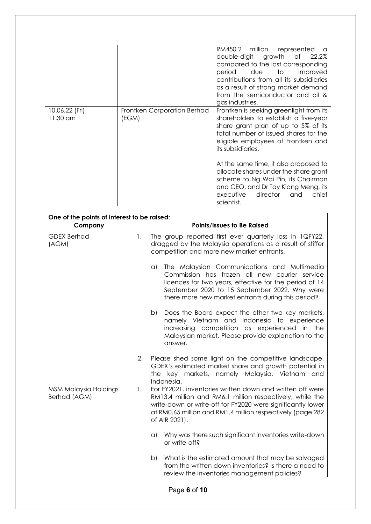|                            |                                      | RM450.2 million, represented<br>double-digit growth of<br>22.2%<br>compared to the last corresponding<br>period due to<br>improved<br>contributions from all its subsidiaries<br>as a result of strong market demand<br>from the semiconductor and oil &<br>gas industries. |
|----------------------------|--------------------------------------|-----------------------------------------------------------------------------------------------------------------------------------------------------------------------------------------------------------------------------------------------------------------------------|
| 10.06.22 (Fri)<br>11.30 am | Frontken Corporation Berhad<br>(EGM) | Frontken is seeking greenlight from its<br>shareholders to establish a five-year<br>share grant plan of up to 5% of its<br>total number of issued shares for the<br>eligible employees of Frontken and<br>its subsidiaries.                                                 |
|                            |                                      | At the same time, it also proposed to<br>allocate shares under the share grant<br>scheme to Ng Wai Pin, its Chairman<br>and CEO, and Dr Tay Kiang Meng, its<br>director<br>chief<br>executive<br>and<br>scientist.                                                          |

| One of the points of interest to be raised: |                            |                                                                                                                                                                                                                                                                           |
|---------------------------------------------|----------------------------|---------------------------------------------------------------------------------------------------------------------------------------------------------------------------------------------------------------------------------------------------------------------------|
| Company                                     | Points/Issues to Be Raised |                                                                                                                                                                                                                                                                           |
| <b>GDEX Berhad</b><br>(AGM)                 | 1.                         | The group reported first ever quarterly loss in 1QFY22,<br>dragged by the Malaysia operations as a result of stiffer<br>competition and more new market entrants.                                                                                                         |
|                                             |                            | The Malaysian Communications and Multimedia<br>$\alpha$<br>Commission has frozen all new courier service<br>licences for two years, effective for the period of 14<br>September 2020 to 15 September 2022. Why were<br>there more new market entrants during this period? |
|                                             |                            | Does the Board expect the other two key markets,<br>b)<br>namely Vietnam and Indonesia to experience<br>increasing competition as experienced in the<br>Malaysian market. Please provide explanation to the<br>answer.                                                    |
|                                             | 2.                         | Please shed some light on the competitive landscape,<br>GDEX's estimated market share and growth potential in<br>the key markets, namely Malaysia, Vietnam and<br>Indonesia.                                                                                              |
| MSM Malaysia Holdings<br>Berhad (AGM)       | 1.                         | For FY2021, inventories written down and written off were<br>RM13.4 million and RM6.1 million respectively, while the<br>write-down or write-off for FY2020 were significantly lower<br>at RM0.65 million and RM1.4 million respectively (page 282<br>of AIR 2021).       |
|                                             |                            | Why was there such significant inventories write-down<br>a)<br>or write-off?                                                                                                                                                                                              |
|                                             |                            | What is the estimated amount that may be salvaged<br>b)<br>from the written down inventories? Is there a need to<br>review the inventories management policies?                                                                                                           |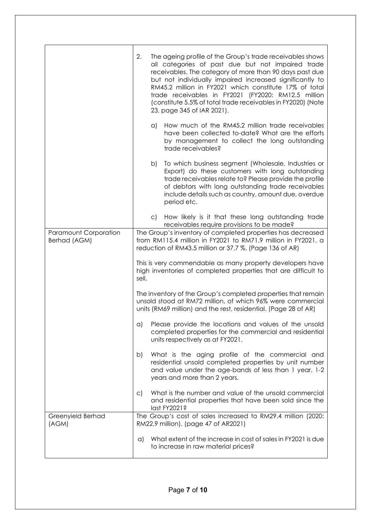|                                              | 2.<br>The ageing profile of the Group's trade receivables shows<br>all categories of past due but not impaired trade<br>receivables. The category of more than 90 days past due<br>but not individually impaired increased significantly to<br>RM45.2 million in FY2021 which constitute 17% of total<br>trade receivables in FY2021 (FY2020: RM12.5 million<br>(constitute 5.5% of total trade receivables in FY2020) (Note<br>23, page 345 of IAR 2021). |  |
|----------------------------------------------|------------------------------------------------------------------------------------------------------------------------------------------------------------------------------------------------------------------------------------------------------------------------------------------------------------------------------------------------------------------------------------------------------------------------------------------------------------|--|
|                                              | How much of the RM45.2 million trade receivables<br>a)<br>have been collected to-date? What are the efforts<br>by management to collect the long outstanding<br>trade receivables?                                                                                                                                                                                                                                                                         |  |
|                                              | To which business segment (Wholesale, Industries or<br>b)<br>Export) do these customers with long outstanding<br>trade receivables relate to? Please provide the profile<br>of debtors with long outstanding trade receivables<br>include details such as country, amount due, overdue<br>period etc.                                                                                                                                                      |  |
|                                              | c) How likely is it that these long outstanding trade<br>receivables require provisions to be made?                                                                                                                                                                                                                                                                                                                                                        |  |
| <b>Paramount Corporation</b><br>Berhad (AGM) | The Group's inventory of completed properties has decreased<br>from RM115.4 million in FY2021 to RM71.9 million in FY2021, a<br>reduction of RM43.5 million or 37.7 %. (Page 136 of AR)                                                                                                                                                                                                                                                                    |  |
|                                              | This is very commendable as many property developers have<br>high inventories of completed properties that are difficult to<br>sell.                                                                                                                                                                                                                                                                                                                       |  |
|                                              | The inventory of the Group's completed properties that remain<br>unsold stood at RM72 million, of which 96% were commercial<br>units (RM69 million) and the rest, residential. (Page 28 of AR)                                                                                                                                                                                                                                                             |  |
|                                              | a) Please provide the locations and values of the unsold<br>completed properties for the commercial and residential<br>units respectively as at FY2021.                                                                                                                                                                                                                                                                                                    |  |
|                                              | What is the aging profile of the commercial and<br>b)<br>residential unsold completed properties by unit number<br>and value under the age-bands of less than 1 year, 1-2<br>years and more than 2 years.                                                                                                                                                                                                                                                  |  |
|                                              | What is the number and value of the unsold commercial<br>C)<br>and residential properties that have been sold since the<br>last FY2021?                                                                                                                                                                                                                                                                                                                    |  |
| Greenyield Berhad<br>(AGM)                   | The Group's cost of sales increased to RM29.4 million (2020:<br>RM22.9 million). (page 47 of AR2021)                                                                                                                                                                                                                                                                                                                                                       |  |
|                                              | What extent of the increase in cost of sales in FY2021 is due<br>$\alpha$<br>to increase in raw material prices?                                                                                                                                                                                                                                                                                                                                           |  |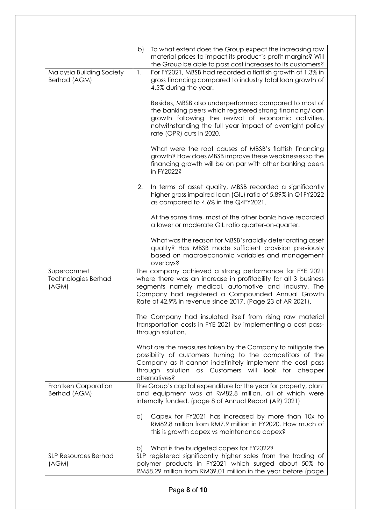|                                             | b)       | To what extent does the Group expect the increasing raw<br>material prices to impact its product's profit margins? Will<br>the Group be able to pass cost increases to its customers?                                                                                                                 |
|---------------------------------------------|----------|-------------------------------------------------------------------------------------------------------------------------------------------------------------------------------------------------------------------------------------------------------------------------------------------------------|
| Malaysia Building Society<br>Berhad (AGM)   | 1.       | For FY2021, MBSB had recorded a flattish growth of 1.3% in<br>gross financing compared to industry total loan growth of<br>4.5% during the year.                                                                                                                                                      |
|                                             |          | Besides, MBSB also underperformed compared to most of<br>the banking peers which registered strong financing/loan<br>growth following the revival of economic activities,<br>notwithstanding the full year impact of overnight policy<br>rate (OPR) cuts in 2020.                                     |
|                                             |          | What were the root causes of MBSB's flattish financing<br>growth? How does MBSB improve these weaknesses so the<br>financing growth will be on par with other banking peers<br>in FY2022?                                                                                                             |
|                                             | 2.       | In terms of asset quality, MBSB recorded a significantly<br>higher gross impaired loan (GIL) ratio of 5.89% in Q1FY2022<br>as compared to 4.6% in the Q4FY2021.                                                                                                                                       |
|                                             |          | At the same time, most of the other banks have recorded<br>a lower or moderate GIL ratio quarter-on-quarter.                                                                                                                                                                                          |
|                                             |          | What was the reason for MBSB's rapidly deteriorating asset<br>quality? Has MBSB made sufficient provision previously<br>based on macroeconomic variables and management<br>overlays?                                                                                                                  |
| Supercomnet<br>Technologies Berhad<br>(AGM) |          | The company achieved a strong performance for FYE 2021<br>where there was an increase in profitability for all 3 business<br>segments namely medical, automotive and industry. The<br>Company had registered a Compounded Annual Growth<br>Rate of 42.9% in revenue since 2017. (Page 23 of AR 2021). |
|                                             |          | The Company had insulated itself from rising raw material<br>transportation costs in FYE 2021 by implementing a cost pass-<br>through solution.                                                                                                                                                       |
|                                             |          | What are the measures taken by the Company to mitigate the<br>possibility of customers turning to the competitors of the<br>Company as it cannot indefinitely implement the cost pass<br>through solution as Customers will look for cheaper<br>alternatives?                                         |
| Frontken Corporation<br>Berhad (AGM)        |          | The Group's capital expenditure for the year for property, plant<br>and equipment was at RM82.8 million, all of which were<br>internally funded. (page 8 of Annual Report (AR) 2021)                                                                                                                  |
|                                             | $\alpha$ | Capex for FY2021 has increased by more than 10x to<br>RM82.8 million from RM7.9 million in FY2020. How much of<br>this is growth capex vs maintenance capex?                                                                                                                                          |
|                                             | b)       | What is the budgeted capex for FY2022?                                                                                                                                                                                                                                                                |
| <b>SLP Resources Berhad</b><br>(AGM)        |          | SLP registered significantly higher sales from the trading of<br>polymer products in FY2021 which surged about 50% to<br>RM58.29 million from RM39.01 million in the year before (page                                                                                                                |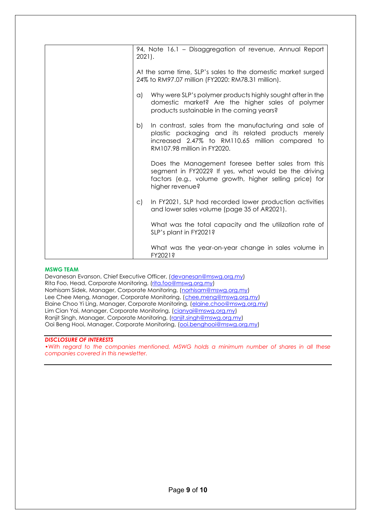| 94, Note 16.1 - Disaggregation of revenue, Annual Report                                                                                                                                           |  |
|----------------------------------------------------------------------------------------------------------------------------------------------------------------------------------------------------|--|
| $2021$ .                                                                                                                                                                                           |  |
| At the same time, SLP's sales to the domestic market surged<br>24% to RM97.07 million (FY2020: RM78.31 million).                                                                                   |  |
| Why were SLP's polymer products highly sought after in the<br>a)<br>domestic market? Are the higher sales of polymer<br>products sustainable in the coming years?                                  |  |
| In contrast, sales from the manufacturing and sale of<br>b)<br>plastic packaging and its related products merely<br>increased 2.47% to RM110.65 million compared to<br>RM107.98 million in FY2020. |  |
| Does the Management foresee better sales from this<br>segment in FY2022? If yes, what would be the driving<br>factors (e.g., volume growth, higher selling price) for<br>higher revenue?           |  |
| In FY2021, SLP had recorded lower production activities<br>$\mathsf{C}$<br>and lower sales volume (page 35 of AR2021).                                                                             |  |
| What was the total capacity and the utilization rate of<br>SLP's plant in FY2021?                                                                                                                  |  |
| What was the year-on-year change in sales volume in<br>FY2021?                                                                                                                                     |  |

#### **MSWG TEAM**

Devanesan Evanson, Chief Executive Officer, [\(devanesan@mswg.org.my\)](mailto:devanesan@mswg.org.my) Rita Foo, Head, Corporate Monitoring, [\(rita.foo@mswg.org.my\)](mailto:rita.foo@mswg.org.my) Norhisam Sidek, Manager, Corporate Monitoring, [\(norhisam@mswg.org.my\)](mailto:norhisam@mswg.org.my) Lee Chee Meng, Manager, Corporate Monitoring, [\(chee.meng@mswg.org.my\)](mailto:chee.meng@mswg.org.my) Elaine Choo Yi Ling, Manager, Corporate Monitoring, [\(elaine.choo@mswg.org.my\)](mailto:elaine.choo@mswg.org.my) Lim Cian Yai, Manager, Corporate Monitoring, [\(cianyai@mswg.org.my\)](mailto:cianyai@mswg.org.my) Ranjit Singh, Manager, Corporate Monitoring, [\(ranjit.singh@mswg.org.my\)](mailto:ranjit.singh@mswg.org.my) Ooi Beng Hooi, Manager, Corporate Monitoring, [\(ooi.benghooi@mswg.org.my\)](mailto:ooi.benghooi@mswg.org.my)

#### *DISCLOSURE OF INTERESTS*

•Wi*th regard to the companies mentioned, MSWG holds a minimum number of shares in all these companies covered in this newsletter.*